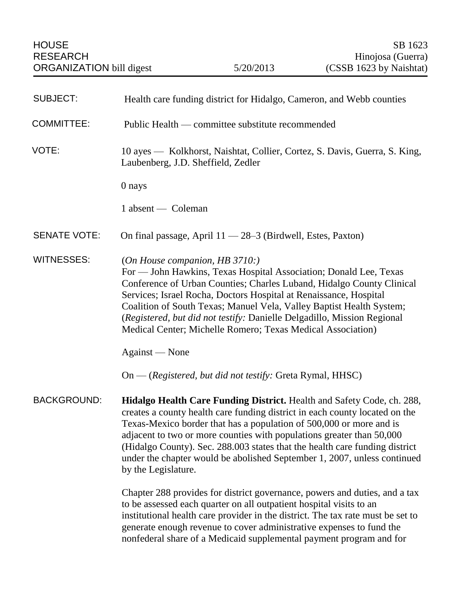| <b>SUBJECT:</b>     | Health care funding district for Hidalgo, Cameron, and Webb counties                                                                                                                                                                                                                                                                                                                                                                                                                           |
|---------------------|------------------------------------------------------------------------------------------------------------------------------------------------------------------------------------------------------------------------------------------------------------------------------------------------------------------------------------------------------------------------------------------------------------------------------------------------------------------------------------------------|
| <b>COMMITTEE:</b>   | Public Health — committee substitute recommended                                                                                                                                                                                                                                                                                                                                                                                                                                               |
| VOTE:               | 10 ayes — Kolkhorst, Naishtat, Collier, Cortez, S. Davis, Guerra, S. King,<br>Laubenberg, J.D. Sheffield, Zedler                                                                                                                                                                                                                                                                                                                                                                               |
|                     | 0 nays                                                                                                                                                                                                                                                                                                                                                                                                                                                                                         |
|                     | 1 absent — Coleman                                                                                                                                                                                                                                                                                                                                                                                                                                                                             |
| <b>SENATE VOTE:</b> | On final passage, April 11 - 28-3 (Birdwell, Estes, Paxton)                                                                                                                                                                                                                                                                                                                                                                                                                                    |
| <b>WITNESSES:</b>   | (On House companion, HB $3710$ .)<br>For — John Hawkins, Texas Hospital Association; Donald Lee, Texas<br>Conference of Urban Counties; Charles Luband, Hidalgo County Clinical<br>Services; Israel Rocha, Doctors Hospital at Renaissance, Hospital<br>Coalition of South Texas; Manuel Vela, Valley Baptist Health System;<br>(Registered, but did not testify: Danielle Delgadillo, Mission Regional<br>Medical Center; Michelle Romero; Texas Medical Association)                         |
|                     | Against — None                                                                                                                                                                                                                                                                                                                                                                                                                                                                                 |
|                     | On — (Registered, but did not testify: Greta Rymal, HHSC)                                                                                                                                                                                                                                                                                                                                                                                                                                      |
| <b>BACKGROUND:</b>  | <b>Hidalgo Health Care Funding District.</b> Health and Safety Code, ch. 288,<br>creates a county health care funding district in each county located on the<br>Texas-Mexico border that has a population of 500,000 or more and is<br>adjacent to two or more counties with populations greater than 50,000<br>(Hidalgo County). Sec. 288.003 states that the health care funding district<br>under the chapter would be abolished September 1, 2007, unless continued<br>by the Legislature. |
|                     | Chapter 288 provides for district governance, powers and duties, and a tax<br>to be assessed each quarter on all outpatient hospital visits to an<br>institutional health care provider in the district. The tax rate must be set to<br>generate enough revenue to cover administrative expenses to fund the<br>nonfederal share of a Medicaid supplemental payment program and for                                                                                                            |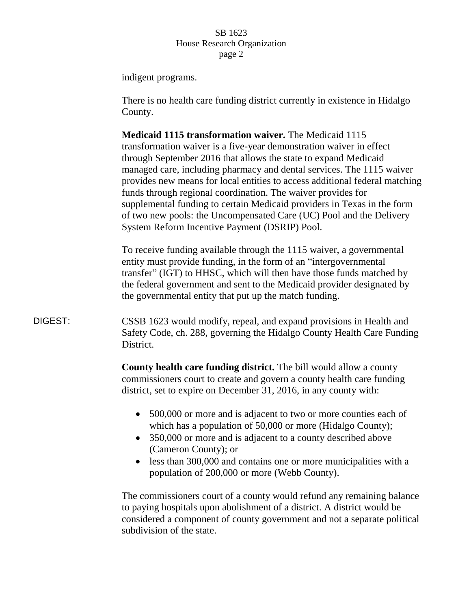indigent programs.

There is no health care funding district currently in existence in Hidalgo County.

**Medicaid 1115 transformation waiver.** The Medicaid 1115 transformation waiver is a five-year demonstration waiver in effect through September 2016 that allows the state to expand Medicaid managed care, including pharmacy and dental services. The 1115 waiver provides new means for local entities to access additional federal matching funds through regional coordination. The waiver provides for supplemental funding to certain Medicaid providers in Texas in the form of two new pools: the Uncompensated Care (UC) Pool and the Delivery System Reform Incentive Payment (DSRIP) Pool.

To receive funding available through the 1115 waiver, a governmental entity must provide funding, in the form of an "intergovernmental transfer" (IGT) to HHSC, which will then have those funds matched by the federal government and sent to the Medicaid provider designated by the governmental entity that put up the match funding.

DIGEST: CSSB 1623 would modify, repeal, and expand provisions in Health and Safety Code, ch. 288, governing the Hidalgo County Health Care Funding District.

> **County health care funding district.** The bill would allow a county commissioners court to create and govern a county health care funding district, set to expire on December 31, 2016, in any county with:

- 500,000 or more and is adjacent to two or more counties each of which has a population of 50,000 or more (Hidalgo County);
- 350,000 or more and is adjacent to a county described above (Cameron County); or
- less than 300,000 and contains one or more municipalities with a population of 200,000 or more (Webb County).

The commissioners court of a county would refund any remaining balance to paying hospitals upon abolishment of a district. A district would be considered a component of county government and not a separate political subdivision of the state.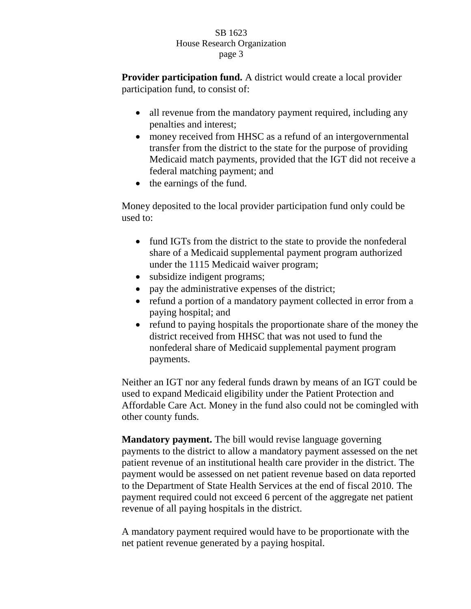**Provider participation fund.** A district would create a local provider participation fund, to consist of:

- all revenue from the mandatory payment required, including any penalties and interest;
- money received from HHSC as a refund of an intergovernmental transfer from the district to the state for the purpose of providing Medicaid match payments, provided that the IGT did not receive a federal matching payment; and
- the earnings of the fund.

Money deposited to the local provider participation fund only could be used to:

- fund IGTs from the district to the state to provide the nonfederal share of a Medicaid supplemental payment program authorized under the 1115 Medicaid waiver program;
- subsidize indigent programs;
- pay the administrative expenses of the district;
- refund a portion of a mandatory payment collected in error from a paying hospital; and
- refund to paying hospitals the proportionate share of the money the district received from HHSC that was not used to fund the nonfederal share of Medicaid supplemental payment program payments.

Neither an IGT nor any federal funds drawn by means of an IGT could be used to expand Medicaid eligibility under the Patient Protection and Affordable Care Act. Money in the fund also could not be comingled with other county funds.

**Mandatory payment.** The bill would revise language governing payments to the district to allow a mandatory payment assessed on the net patient revenue of an institutional health care provider in the district. The payment would be assessed on net patient revenue based on data reported to the Department of State Health Services at the end of fiscal 2010. The payment required could not exceed 6 percent of the aggregate net patient revenue of all paying hospitals in the district.

A mandatory payment required would have to be proportionate with the net patient revenue generated by a paying hospital.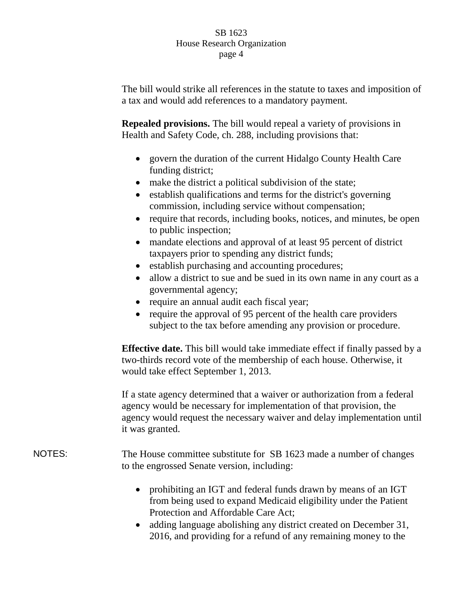The bill would strike all references in the statute to taxes and imposition of a tax and would add references to a mandatory payment.

**Repealed provisions.** The bill would repeal a variety of provisions in Health and Safety Code, ch. 288, including provisions that:

- govern the duration of the current Hidalgo County Health Care funding district;
- make the district a political subdivision of the state;
- establish qualifications and terms for the district's governing commission, including service without compensation;
- require that records, including books, notices, and minutes, be open to public inspection;
- mandate elections and approval of at least 95 percent of district taxpayers prior to spending any district funds;
- establish purchasing and accounting procedures;
- allow a district to sue and be sued in its own name in any court as a governmental agency;
- require an annual audit each fiscal year;
- require the approval of 95 percent of the health care providers subject to the tax before amending any provision or procedure.

**Effective date.** This bill would take immediate effect if finally passed by a two-thirds record vote of the membership of each house. Otherwise, it would take effect September 1, 2013.

If a state agency determined that a waiver or authorization from a federal agency would be necessary for implementation of that provision, the agency would request the necessary waiver and delay implementation until it was granted.

NOTES: The House committee substitute for SB 1623 made a number of changes to the engrossed Senate version, including:

- prohibiting an IGT and federal funds drawn by means of an IGT from being used to expand Medicaid eligibility under the Patient Protection and Affordable Care Act;
- adding language abolishing any district created on December 31, 2016, and providing for a refund of any remaining money to the